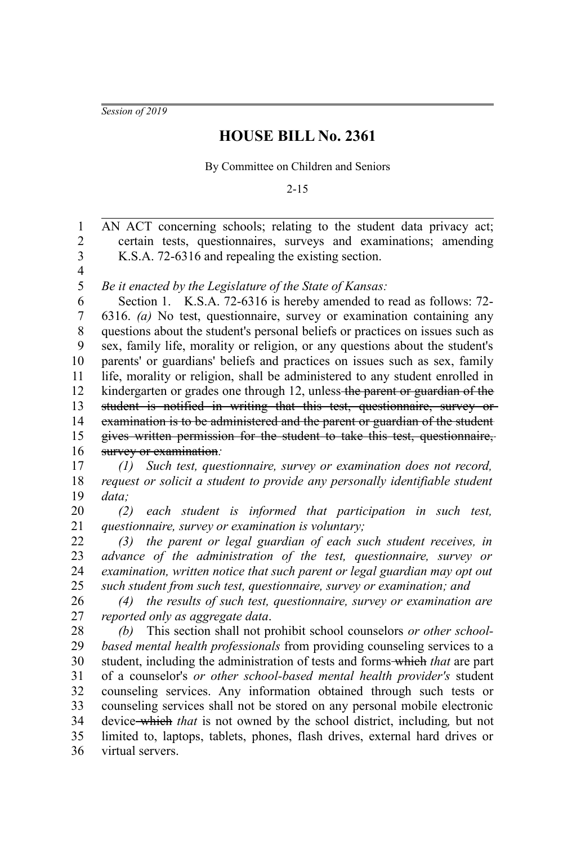*Session of 2019*

## **HOUSE BILL No. 2361**

By Committee on Children and Seniors

2-15

AN ACT concerning schools; relating to the student data privacy act; certain tests, questionnaires, surveys and examinations; amending K.S.A. 72-6316 and repealing the existing section. *Be it enacted by the Legislature of the State of Kansas:* Section 1. K.S.A. 72-6316 is hereby amended to read as follows: 72-6316. *(a)* No test, questionnaire, survey or examination containing any questions about the student's personal beliefs or practices on issues such as sex, family life, morality or religion, or any questions about the student's parents' or guardians' beliefs and practices on issues such as sex, family life, morality or religion, shall be administered to any student enrolled in kindergarten or grades one through 12, unless the parent or guardian of the student is notified in writing that this test, questionnaire, survey or examination is to be administered and the parent or guardian of the student gives written permission for the student to take this test, questionnaire, survey or examination*: (1) Such test, questionnaire, survey or examination does not record, request or solicit a student to provide any personally identifiable student* 1 2 3 4 5 6 7 8 9 10 11 12 13 14 15 16 17 18

*data;* 19

*(2) each student is informed that participation in such test, questionnaire, survey or examination is voluntary;* 20 21

*(3) the parent or legal guardian of each such student receives, in advance of the administration of the test, questionnaire, survey or examination, written notice that such parent or legal guardian may opt out such student from such test, questionnaire, survey or examination; and* 22 23 24 25

*(4) the results of such test, questionnaire, survey or examination are reported only as aggregate data*. 26 27

*(b)* This section shall not prohibit school counselors *or other schoolbased mental health professionals* from providing counseling services to a student, including the administration of tests and forms which *that* are part of a counselor's *or other school-based mental health provider's* student counseling services. Any information obtained through such tests or counseling services shall not be stored on any personal mobile electronic device which *that* is not owned by the school district, including*,* but not limited to, laptops, tablets, phones, flash drives, external hard drives or virtual servers. 28 29 30 31 32 33 34 35 36